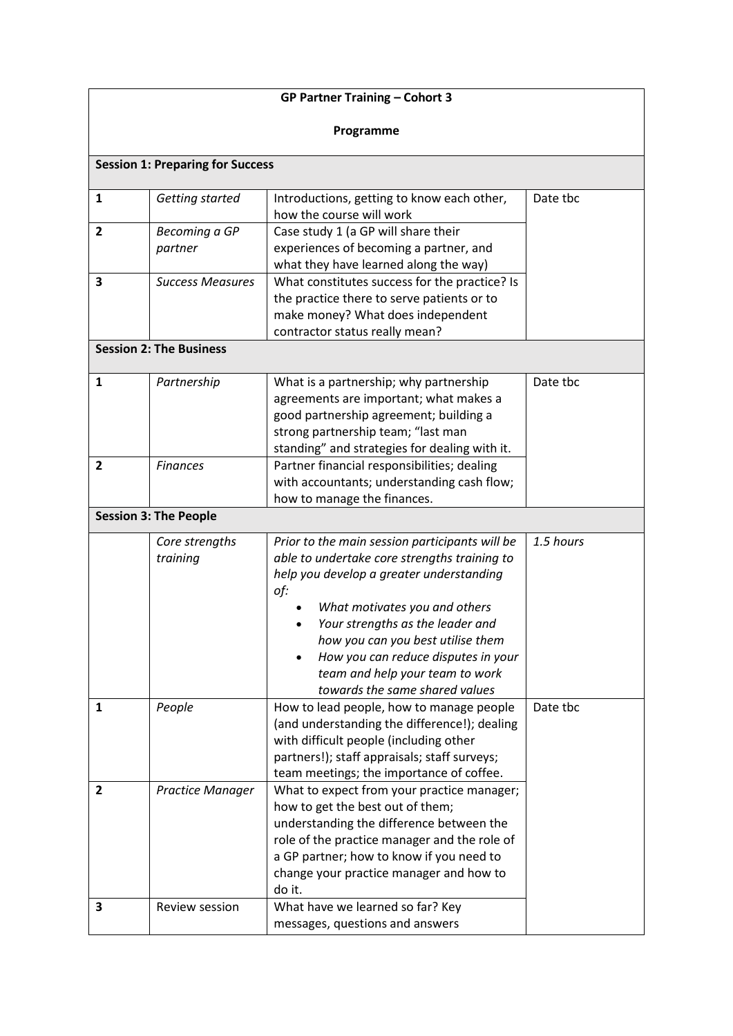| <b>GP Partner Training - Cohort 3</b>   |                                           |                                                                                                                                                                                                                                                                                                                                                                                                                     |                       |  |  |
|-----------------------------------------|-------------------------------------------|---------------------------------------------------------------------------------------------------------------------------------------------------------------------------------------------------------------------------------------------------------------------------------------------------------------------------------------------------------------------------------------------------------------------|-----------------------|--|--|
| Programme                               |                                           |                                                                                                                                                                                                                                                                                                                                                                                                                     |                       |  |  |
| <b>Session 1: Preparing for Success</b> |                                           |                                                                                                                                                                                                                                                                                                                                                                                                                     |                       |  |  |
| $\mathbf{1}$                            | Getting started                           | Introductions, getting to know each other,<br>how the course will work                                                                                                                                                                                                                                                                                                                                              | Date tbc              |  |  |
| $\overline{2}$                          | Becoming a GP<br>partner                  | Case study 1 (a GP will share their<br>experiences of becoming a partner, and<br>what they have learned along the way)                                                                                                                                                                                                                                                                                              |                       |  |  |
| 3                                       | <b>Success Measures</b>                   | What constitutes success for the practice? Is<br>the practice there to serve patients or to<br>make money? What does independent<br>contractor status really mean?                                                                                                                                                                                                                                                  |                       |  |  |
| <b>Session 2: The Business</b>          |                                           |                                                                                                                                                                                                                                                                                                                                                                                                                     |                       |  |  |
| $\mathbf{1}$                            | Partnership                               | What is a partnership; why partnership<br>agreements are important; what makes a<br>good partnership agreement; building a<br>strong partnership team; "last man<br>standing" and strategies for dealing with it.                                                                                                                                                                                                   | Date tbc              |  |  |
| 2                                       | <b>Finances</b>                           | Partner financial responsibilities; dealing<br>with accountants; understanding cash flow;<br>how to manage the finances.                                                                                                                                                                                                                                                                                            |                       |  |  |
| <b>Session 3: The People</b>            |                                           |                                                                                                                                                                                                                                                                                                                                                                                                                     |                       |  |  |
| 1                                       | Core strengths<br>training<br>People      | Prior to the main session participants will be<br>able to undertake core strengths training to<br>help you develop a greater understanding<br>of:<br>What motivates you and others<br>Your strengths as the leader and<br>how you can you best utilise them<br>How you can reduce disputes in your<br>team and help your team to work<br>towards the same shared values<br>How to lead people, how to manage people | 1.5 hours<br>Date tbc |  |  |
|                                         |                                           | (and understanding the difference!); dealing<br>with difficult people (including other<br>partners!); staff appraisals; staff surveys;<br>team meetings; the importance of coffee.                                                                                                                                                                                                                                  |                       |  |  |
| 2<br>3                                  | <b>Practice Manager</b><br>Review session | What to expect from your practice manager;<br>how to get the best out of them;<br>understanding the difference between the<br>role of the practice manager and the role of<br>a GP partner; how to know if you need to<br>change your practice manager and how to<br>do it.<br>What have we learned so far? Key                                                                                                     |                       |  |  |
|                                         |                                           | messages, questions and answers                                                                                                                                                                                                                                                                                                                                                                                     |                       |  |  |